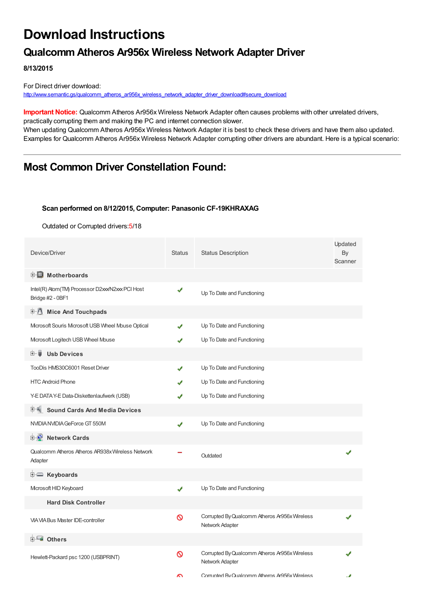# **Download Instructions**

## **Qualcomm Atheros Ar956x Wireless Network Adapter Driver**

**8/13/2015**

For Direct driver download: [http://www.semantic.gs/qualcomm\\_atheros\\_ar956x\\_wireless\\_network\\_adapter\\_driver\\_download#secure\\_download](http://www.semantic.gs/qualcomm_atheros_ar956x_wireless_network_adapter_driver_download#secure_download)

**Important Notice:** Qualcomm Atheros Ar956x Wireless Network Adapter often causes problems with other unrelated drivers, practically corrupting them and making the PC and internet connection slower.

When updating Qualcomm Atheros Ar956x Wireless Network Adapter it is best to check these drivers and have them also updated. Examples for Qualcomm Atheros Ar956x Wireless Network Adapter corrupting other drivers are abundant. Here is a typical scenario:

## **Most Common Driver Constellation Found:**

#### **Scan performed on 8/12/2015, Computer: Panasonic CF-19KHRAXAG**

Outdated or Corrupted drivers:5/18

| Device/Driver                                                        | <b>Status</b> | <b>Status Description</b>                                        | Updated<br>By<br>Scanner |
|----------------------------------------------------------------------|---------------|------------------------------------------------------------------|--------------------------|
| <b>E</b> Motherboards                                                |               |                                                                  |                          |
| Intel(R) Atom(TM) Processor D2xxx/N2xxx PCI Host<br>Bridge #2 - 0BF1 | √             | Up To Date and Functioning                                       |                          |
| <b>E</b> Mice And Touchpads                                          |               |                                                                  |                          |
| Microsoft Souris Microsoft USB Wheel Mouse Optical                   | J             | Up To Date and Functioning                                       |                          |
| Microsoft Logitech USB Wheel Mouse                                   |               | Up To Date and Functioning                                       |                          |
| <b>Usb Devices</b><br>⊞…■                                            |               |                                                                  |                          |
| TooDis HMS30C6001 Reset Driver                                       | J             | Up To Date and Functioning                                       |                          |
| <b>HTC Android Phone</b>                                             |               | Up To Date and Functioning                                       |                          |
| Y-E DATA Y-E Data-Diskettenlaufwerk (USB)                            |               | Up To Date and Functioning                                       |                          |
| F Sound Cards And Media Devices                                      |               |                                                                  |                          |
| NVIDIA NVIDIA GeForce GT 550M                                        | ✔             | Up To Date and Functioning                                       |                          |
| <b>E</b> Network Cards                                               |               |                                                                  |                          |
| Qualcomm Atheros Atheros AR938x Wireless Network<br>Adapter          |               | Outdated                                                         |                          |
| E Keyboards                                                          |               |                                                                  |                          |
| Microsoft HID Keyboard                                               | ✔             | Up To Date and Functioning                                       |                          |
| <b>Hard Disk Controller</b>                                          |               |                                                                  |                          |
| <b>VIA VIA Bus Master IDE-controller</b>                             | Ø             | Corrupted By Qualcomm Atheros Ar956x Wireless<br>Network Adapter |                          |
| 白 一 <mark>画</mark> Others                                            |               |                                                                  |                          |
| Hewlett-Packard psc 1200 (USBPRINT)                                  | ଷ             | Corrupted By Qualcomm Atheros Ar956x Wireless<br>Network Adapter |                          |
|                                                                      | ົ             | Corrupted By Qualcomm Atheros Ar956x Wireless                    | s                        |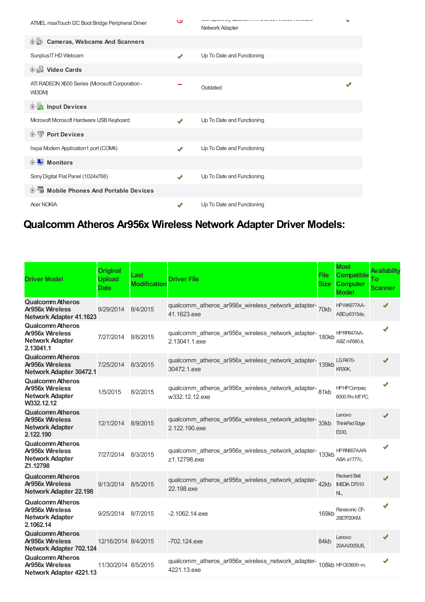| ATMEL maxTouch I2C Boot Bridge Peripheral Driver        | $\check{}$ | CONTRADO LA GONDONIA EN 1919 EL ESPECIO E EL ESPECIO<br>Network Adapter | v |
|---------------------------------------------------------|------------|-------------------------------------------------------------------------|---|
| 中心<br><b>Cameras, Webcams And Scanners</b>              |            |                                                                         |   |
| Sunplus IT HD Webcam                                    | ✔          | Up To Date and Functioning                                              |   |
| Video Cards                                             |            |                                                                         |   |
| ATI RADEON X600 Series (Mcrosoft Corporation -<br>WDDM) |            | Outdated                                                                |   |
| input Devices                                           |            |                                                                         |   |
| Microsoft Microsoft Hardware USB Keyboard               | ✔          | Up To Date and Functioning                                              |   |
| <b>Port Devices</b><br><b>主…</b>                        |            |                                                                         |   |
| hspa Modem Application1 port (COM4)                     | ✔          | Up To Date and Functioning                                              |   |
| $\blacksquare$ Monitors<br>$+$                          |            |                                                                         |   |
| Sony Digital Flat Panel (1024x768)                      | ✔          | Up To Date and Functioning                                              |   |
| Mobile Phones And Portable Devices<br>田                 |            |                                                                         |   |
| <b>Acer NOKIA</b>                                       | ✔          | Up To Date and Functioning                                              |   |

## **Qualcomm Atheros Ar956x Wireless Network Adapter Driver Models:**

| <b>Driver Model</b>                                                                       | <b>Original</b><br><b>Upload</b><br><b>Date</b> | Last<br><b>Modification</b> | <b>Driver File</b>                                                          | <b>File</b><br><b>Size</b> | <b>Most</b><br><b>Compatible</b><br><b>Computer</b><br><b>Model</b> | Availabilty<br>Тο<br><b>Scanner</b> |
|-------------------------------------------------------------------------------------------|-------------------------------------------------|-----------------------------|-----------------------------------------------------------------------------|----------------------------|---------------------------------------------------------------------|-------------------------------------|
| <b>Qualcomm Atheros</b><br><b>Ar956x Wireless</b><br><b>Network Adapter 41.1623</b>       | 9/29/2014                                       | 8/4/2015                    | qualcomm_atheros_ar956x_wireless_network_adapter-<br>70kb<br>41.1623.exe    |                            | HPWK677AA-<br>ABD p6315de,                                          | J                                   |
| <b>Qualcomm Atheros</b><br>Ar956x Wireless<br><b>Network Adapter</b><br>2.13041.1         | 7/27/2014                                       | 8/8/2015                    | qualcomm_atheros_ar956x_wireless_network_adapter-<br>180kb<br>2.13041.1.exe |                            | HPRP847AA-<br>ABZ m7680.it.                                         |                                     |
| <b>Qualcomm Atheros</b><br><b>Ar956x Wireless</b><br>Network Adapter 30472.1              | 7/25/2014                                       | 8/3/2015                    | qualcomm_atheros_ar956x_wireless_network_adapter-<br>139kb<br>30472.1.exe   |                            | <b>LG R470-</b><br>KR30K,                                           |                                     |
| <b>Qualcomm Atheros</b><br><b>Ar956x Wireless</b><br><b>Network Adapter</b><br>W332.12.12 | 1/5/2015                                        | 8/2/2015                    | qualcomm_atheros_ar956x_wireless_network_adapter-81kb<br>w332.12.12.exe     |                            | <b>HPHPCompaq</b><br>6000 Pro MT PC,                                |                                     |
| <b>Qualcomm Atheros</b><br>Ar956x Wireless<br><b>Network Adapter</b><br>2.122.190         | 12/1/2014                                       | 8/9/2015                    | qualcomm_atheros_ar956x_wireless_network_adapter-<br>33kb<br>2.122.190.exe  |                            | Lenovo<br><b>ThinkPad Edge</b><br>E330,                             | ✔                                   |
| Qualcomm Atheros<br><b>Ar956x Wireless</b><br><b>Network Adapter</b><br>Z1.12798          | 7/27/2014                                       | 8/3/2015                    | qualcomm_atheros_ar956x_wireless_network_adapter-<br>133kb<br>z1.12798.exe  |                            | HPRN657AAR-<br>ABA a1777c,                                          | J                                   |
| <b>Qualcomm Atheros</b><br><b>Ar956x Wireless</b><br>Network Adapter 22.198               | 9/13/2014                                       | 8/5/2015                    | qualcomm_atheros_ar956x_wireless_network_adapter-<br>22.198.exe             | 42kb                       | <b>Packard Bell</b><br>IMEDIA D7010<br>NL,                          | ✔                                   |
| <b>Qualcomm Atheros</b><br>Ar956x Wireless<br><b>Network Adapter</b><br>2.1062.14         | 9/25/2014                                       | 8/7/2015                    | $-2.1062.14$ .exe                                                           | 169kb                      | Panasonic CF-<br>29ETP20KM                                          |                                     |
| <b>Qualcomm Atheros</b><br><b>Ar956x Wireless</b><br>Network Adapter 702.124              | 12/16/2014 8/4/2015                             |                             | $-702.124$ .exe                                                             | 84kb                       | Lenovo<br>20AA000SUS.                                               | ✔                                   |
| <b>Qualcomm Atheros</b><br><b>Ar956x Wireless</b><br>Network Adapter 4221.13              | 11/30/2014 8/5/2015                             |                             | qualcomm_atheros_ar956x_wireless_network_adapter-<br>4221.13.exe            |                            | 108kb HPG5360fr-m,                                                  |                                     |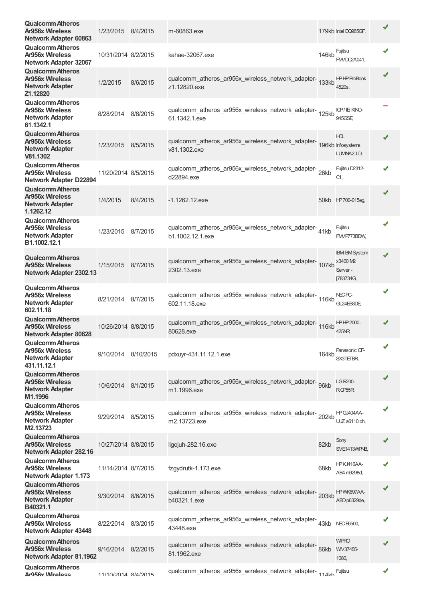| <b>Qualcomm Atheros</b><br><b>Ar956x Wireless</b><br>Network Adapter 60863                  | 1/23/2015 8/4/2015  |          | m-60863.exe                                                                            |       | 179kb Intel DQ965GF,                                      |              |
|---------------------------------------------------------------------------------------------|---------------------|----------|----------------------------------------------------------------------------------------|-------|-----------------------------------------------------------|--------------|
| <b>Qualcomm Atheros</b><br><b>Ar956x Wireless</b><br><b>Network Adapter 32067</b>           | 10/31/2014 8/2/2015 |          | kahae-32067.exe                                                                        | 146kb | Fujitsu<br><b>FM/DC2A041,</b>                             | ✔            |
| <b>Qualcomm Atheros</b><br><b>Ar956x Wireless</b><br><b>Network Adapter</b><br>Z1.12820     | 1/2/2015            | 8/6/2015 | qualcomm_atheros_ar956x_wireless_network_adapter-<br>133kb<br>z1.12820.exe             |       | <b>HPHPProBook</b><br>4520s,                              |              |
| <b>Qualcomm Atheros</b><br><b>Ar956x Wireless</b><br><b>Network Adapter</b><br>61.1342.1    | 8/28/2014 8/8/2015  |          | qualcomm_atheros_ar956x_wireless_network_adapter-<br>125kb<br>61.1342.1.exe            |       | ICP/IEKINO-<br>945GSE                                     |              |
| <b>Qualcomm Atheros</b><br><b>Ar956x Wireless</b><br><b>Network Adapter</b><br>V81.1302     | 1/23/2015           | 8/5/2015 | qualcomm_atheros_ar956x_wireless_network_adapter-<br>196kb Infosystems<br>v81.1302.exe |       | HOL.<br>LUMINA2-LD,                                       | ✔            |
| <b>Qualcomm Atheros</b><br>Ar956x Wireless<br><b>Network Adapter D22894</b>                 | 11/20/2014 8/5/2015 |          | qualcomm_atheros_ar956x_wireless_network_adapter-26kb<br>d22894.exe                    |       | Fujitsu D2312-<br>C1,                                     |              |
| <b>Qualcomm Atheros</b><br>Ar956x Wireless<br><b>Network Adapter</b><br>1.1262.12           | 1/4/2015            | 8/4/2015 | $-1.1262.12$ .exe                                                                      |       | 50kb HP700-015eg,                                         |              |
| <b>Qualcomm Atheros</b><br><b>Ar956x Wireless</b><br><b>Network Adapter</b><br>B1.1002.12.1 | 1/23/2015           | 8/7/2015 | qualcomm_atheros_ar956x_wireless_network_adapter-41kb<br>b1.1002.12.1.exe              |       | Fujitsu<br>FMVP773BDW,                                    |              |
| <b>Qualcomm Atheros</b><br><b>Ar956x Wireless</b><br>Network Adapter 2302.13                | 1/15/2015           | 8/7/2015 | qualcomm_atheros_ar956x_wireless_network_adapter-<br>107kb<br>2302.13.exe              |       | <b>IBM IBM System</b><br>x3400 M2<br>Server-<br>[783734G, | ✔            |
| <b>Qualcomm Atheros</b><br>Ar956x Wireless<br><b>Network Adapter</b><br>602.11.18           | 8/21/2014 8/7/2015  |          | qualcomm_atheros_ar956x_wireless_network_adapter-<br>116kb<br>602.11.18.exe            |       | NEC <sub>PC</sub><br>GL24ES8DE                            | ✔            |
| <b>Qualcomm Atheros</b><br>Ar956x Wireless<br>Network Adapter 80628                         | 10/26/2014 8/8/2015 |          | qualcomm_atheros_ar956x_wireless_network_adapter-<br>116kb<br>80628.exe                |       | <b>HPHP2000-</b><br>425NR                                 |              |
| <b>Qualcomm Atheros</b><br>Ar956x Wireless<br><b>Network Adapter</b><br>431.11.12.1         | 9/10/2014 8/10/2015 |          | pdxuyr-431.11.12.1.exe                                                                 | 164kb | Panasonic CF-<br><b>SX3TETBR</b>                          | $\checkmark$ |
| <b>Qualcomm Atheros</b><br><b>Ar956x Wireless</b><br><b>Network Adapter</b><br>M1.1996      | 10/6/2014           | 8/1/2015 | qualcomm_atheros_ar956x_wireless_network_adapter-<br>96kb<br>m1.1996.exe               |       | LG R200-<br>RCP <sub>55</sub> R                           |              |
| <b>Qualcomm Atheros</b><br><b>Ar956x Wireless</b><br><b>Network Adapter</b><br>M2.13723     | 9/29/2014           | 8/5/2015 | qualcomm_atheros_ar956x_wireless_network_adapter-202kb<br>m2.13723.exe                 |       | HPGJ404AA-<br><b>UUZ</b> a6110.ch,                        |              |
| <b>Qualcomm Atheros</b><br>Ar956x Wireless<br>Network Adapter 282.16                        | 10/27/2014 8/8/2015 |          | ligojuh-282.16.exe                                                                     | 82kb  | Sony<br>SVE1413WPNB,                                      |              |
| <b>Qualcomm Atheros</b><br><b>Ar956x Wireless</b><br><b>Network Adapter 1.173</b>           | 11/14/2014 8/7/2015 |          | fzgydrutk-1.173.exe                                                                    | 68kb  | <b>HPKJ416AA-</b><br>AB4 m9298d,                          |              |
| <b>Qualcomm Atheros</b><br><b>Ar956x Wireless</b><br><b>Network Adapter</b><br>B40321.1     | 9/30/2014           | 8/6/2015 | qualcomm_atheros_ar956x_wireless_network_adapter-203kb<br>b40321.1.exe                 |       | HPWK697AA-<br>ABD p6329de,                                |              |
| <b>Qualcomm Atheros</b><br><b>Ar956x Wireless</b><br>Network Adapter 43448                  | 8/22/2014           | 8/3/2015 | qualcomm_atheros_ar956x_wireless_network_adapter-<br>43kb NECE5500,<br>43448.exe       |       |                                                           |              |
| <b>Qualcomm Atheros</b><br><b>Ar956x Wireless</b><br>Network Adapter 81.1962                | 9/16/2014           | 8/2/2015 | qualcomm_atheros_ar956x_wireless_network_adapter-<br>81.1962.exe                       | 86kb  | <b>WIPRO</b><br>WN37455-<br>1080,                         |              |
| Qualcomm Atheros<br>Ar956x Wireless                                                         | 11/10/2014 8/4/2015 |          | qualcomm_atheros_ar956x_wireless_network_adapter-114kh                                 |       | Fujitsu                                                   | ✔            |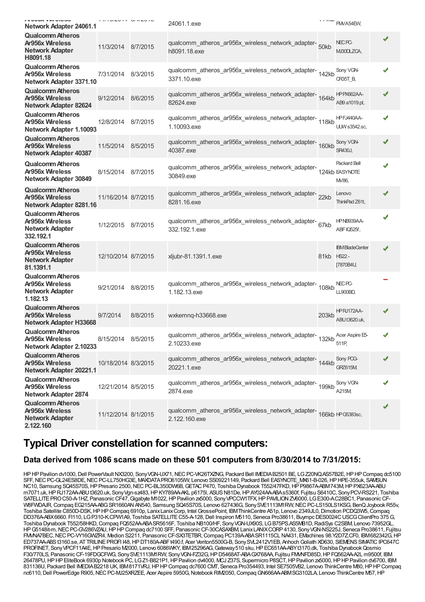| טטטוט ווויז מטטט<br>Network Adapter 24061.1                                              |                     |          | 24061.1.exe                                                                            | 1.171M                                | FMVA54EW,                                      |   |
|------------------------------------------------------------------------------------------|---------------------|----------|----------------------------------------------------------------------------------------|---------------------------------------|------------------------------------------------|---|
| <b>Qualcomm Atheros</b><br>Ar956x Wireless<br><b>Network Adapter</b><br>H8091.18         | 11/3/2014 8/7/2015  |          | qualcomm_atheros_ar956x_wireless_network_adapter-<br>50kb<br>h8091.18.exe              |                                       | NEC <sub>PC</sub><br>MJ30DLZCA,                |   |
| <b>Qualcomm Atheros</b><br>Ar956x Wireless<br>Network Adapter 3371.10                    | 7/31/2014 8/3/2015  |          | qualcomm_atheros_ar956x_wireless_network_adapter-<br>142kb<br>3371.10.exe              |                                       | Sony VGN-<br>CR35T_B,                          |   |
| <b>Qualcomm Atheros</b><br><b>Ar956x Wireless</b><br>Network Adapter 82624               | 9/12/2014           | 8/6/2015 | qualcomm_atheros_ar956x_wireless_network_adapter-164kb<br>82624.exe                    |                                       | <b>HPPX662AA-</b><br>AB9 a1019.pt,             |   |
| <b>Qualcomm Atheros</b><br><b>Ar956x Wireless</b><br>Network Adapter 1.10093             | 12/8/2014           | 8/7/2015 | qualcomm_atheros_ar956x_wireless_network_adapter-<br>118kb<br>1.10093.exe              |                                       | HPFJ440AA-<br><b>UUW</b> s3542.sc,             |   |
| <b>Qualcomm Atheros</b><br><b>Ar956x Wireless</b><br><b>Network Adapter 40387</b>        | 11/5/2014           | 8/5/2015 | qualcomm_atheros_ar956x_wireless_network_adapter-<br>160kb<br>40387.exe                |                                       | Sony VGN-<br><b>SR430J,</b>                    |   |
| <b>Qualcomm Atheros</b><br><b>Ar956x Wireless</b><br>Network Adapter 30849               | 8/15/2014 8/7/2015  |          | qualcomm_atheros_ar956x_wireless_network_adapter-<br>30849.exe                         |                                       | <b>Packard Bell</b><br>124kb EASYNOTE<br>M/86, | J |
| <b>Qualcomm Atheros</b><br><b>Ar956x Wireless</b><br>Network Adapter 8281.16             | 11/16/2014 8/7/2015 |          | qualcomm_atheros_ar956x_wireless_network_adapter-22kb<br>8281.16.exe                   |                                       | Lenovo<br>ThinkPad Z61t,                       |   |
| <b>Qualcomm Atheros</b><br>Ar956x Wireless<br><b>Network Adapter</b><br>332.192.1        | 1/12/2015 8/7/2015  |          | qualcomm_atheros_ar956x_wireless_network_adapter-67kb<br>332.192.1.exe                 |                                       | HPNB939AA-<br>ABFIQ525f,                       |   |
| <b>Qualcomm Atheros</b><br><b>Ar956x Wireless</b><br><b>Network Adapter</b><br>81.1391.1 | 12/10/2014 8/7/2015 |          | xljubr-81.1391.1.exe                                                                   | 81kb HS22-                            | <b>IBM BladeCenter</b><br>[7870B4U,            |   |
| <b>Qualcomm Atheros</b><br>Ar956x Wireless<br>Network Adapter<br>1.182.13                | 9/21/2014           | 8/8/2015 | qualcomm_atheros_ar956x_wireless_network_adapter-<br>108kb<br>1.182.13.exe             |                                       | NEC <sub>PC</sub><br><b>LL900BD,</b>           |   |
| <b>Qualcomm Atheros</b><br>Ar956x Wireless<br>Network Adapter H33668                     | 9/7/2014            | 8/8/2015 | wxkemnq-h33668.exe                                                                     | 203kb                                 | HPRJ172AA-<br>ABUt3620.uk,                     |   |
| <b>Qualcomm Atheros</b><br>Ar956x Wireless<br>Network Adapter 2.10233                    | 8/15/2014 8/5/2015  |          | qualcomm_atheros_ar956x_wireless_network_adapter-<br>2.10233.exe                       | 132 $kb$ <sub>511<math>P</math></sub> | Acer Aspire E5-                                |   |
| <b>Qualcomm Atheros</b><br><b>Ar956x Wireless</b><br>Network Adapter 20221.1             | 10/18/2014 8/3/2015 |          | qualcomm_atheros_ar956x_wireless_network_adapter-<br>144kb<br>20221.1.exe              |                                       | Sony POG-<br>GRZ615M                           |   |
| <b>Qualcomm Atheros</b><br><b>Ar956x Wireless</b><br>Network Adapter 2874                | 12/21/2014 8/5/2015 |          | qualcomm_atheros_ar956x_wireless_network_adapter-<br>199kb<br>2874.exe                 |                                       | Sony VGN-<br>A215M                             |   |
| <b>Qualcomm Atheros</b><br>Ar956x Wireless<br><b>Network Adapter</b><br>2.122.160        | 11/12/2014 8/1/2015 |          | qualcomm_atheros_ar956x_wireless_network_adapter-<br>166kb IPG5383sc,<br>2.122.160.exe |                                       |                                                |   |

### **Typical Driver constellation for scanned computers:**

### **Data derived from 1086 scans made on these 501 computers from 8/30/2014 to 7/31/2015:**

HP HP Pavilion dv1000, Dell PowerVault NX3200, Sony VGN-UX71, NEC PC-VK26TXZNG, Packard Bell IMEDIAB2501 BE, LG Z20NQ.AS57B2E, HP HP Compaq dc5100 SFF,NECPC-GL24ES8DE,NECPC-LL750HG3E, MAXDATAPRO6105IW, Lenovo SS09221149, Packard Bell EASYNOTE\_MX61-B-026,HPHPE-355uk, SAMSUN NC10, Samsung SQ45S70S, HP Presario 2500, NEC PC-BL350DW6B, GETAC P470, Toshiba Dynabook T552/47FKD, HP P9867A-ABM743M, HP PX623AA-ABU m7071.uk, HP RJ172AA-ABU t3620.uk, Sony Vgn-sz483, HP KY789AA-AKL p6175l, ASUS N81De, HP AY024AA-ABAs5360f, Fujitsu S6410C, Sony PCV-RS221, Toshiba SATELLITE PRO C50-A-1HZ, Panasonic CF47, Gigabyte M1022, HP Pavilion zx5000, Sony VPCCW1TFX, HP PAVILION ZV6000, LG E300-AC28BC1, Panasonic CF-W8FWDAJR, Compaq EG215AA-ABG SR1660AN AN540, Samsung SQ45S70S, Lenovo 627436G, Sony SVE1113M1RW, NEC PC-LS150LS1KSG, BenQ Joybook R55v, Toshiba Satellite C850D-DSK, HP HP Compaq 6910p, Lanix Lanix Corp, Intel GrossePoint, IBM ThinkCentre A51p, Lenovo 2349JL0, Dimotion PCDQ3W5, Compaq DD376A-ABX6660. FI110, LGP310-K.CPW1A9, Toshiba SATELLITE C55-A-128, Dell Inspiron M5110, Seneca Pro38611, Buympc DES0024C USCG ClientPro 375 G, Toshiba Dynabook T552/58HKD,Compaq FQ552AA-ABASR5616F, Toshiba NB100/HF, SonyVGN-UX90S, LGB75PS.AS5MB1D,RadiSys C2SBM, Lenovo 73952GL, HPG5148it-m, NEC PC-GV286VZAU, HP HP Compaq dc7100 SFF, Panasonic CF-30CASAXBM, LanixLANIX CORP 4130, Sony VGN-NS225J, Seneca Pro38611, Fujitsu FMMA7BEC, NEC PC-VY16GWZR4, Medion S2211, Panasonic CF-SX3TETBR, Compaq PC139A-ABA SR1115CL NA431, EMachines 98.Y2D7Z.CF0, IBM682342G, HP ED737AA-ABSt3160.se, ATTRILINE PROFI 148, HP DT180A-ABFt490.f, Acer Veriton5500G-B, SonySVL2412V1EB, Anhoch Goliath XD630, SIEMENS SIMATIC IPC647C PROFINET, Sony VPCF11A4E, HP Presario M2000, Lenovo 6086WKY, IBM25296AG, Gateway 510 sku, HP EC651AA-ABYt3170.dk, Toshiba Dynabook Qosmio F30/770LS, Panasonic CF-19FDGCFWG, Sony SVE1113M1RW, Sony VGN-FZ32G, HP D5468AT-ABA GX768AA, Fujitsu FMMFD85D, HP FQ562AA-A2L m9500f, IBM 26478PU,HPHPEliteBook 6930p Notebook PC, LGZ1-B821P1,HPPavilion dv4000, MCJ Z37S, Supermicro P8SCT,HPPavilion zx5000,HPHPPavilion dv6700, IBM 831136U, Packard Bell IMEDIAB2218 UK, IBM8171VRJ,HPHPCompaq dc7600 CMT, Seneca Pro354493, Intel SE7505VB2, Lenovo ThinkCentre M80,HPHPCompaq nc6110, Dell PowerEdge R905, NEC PC-MJ25XRZEE, Acer Aspire 5950G, Notebook RIM2050, Compaq GN666AA-ABMSG3102LA, Lenovo ThinkCentre M57, HP